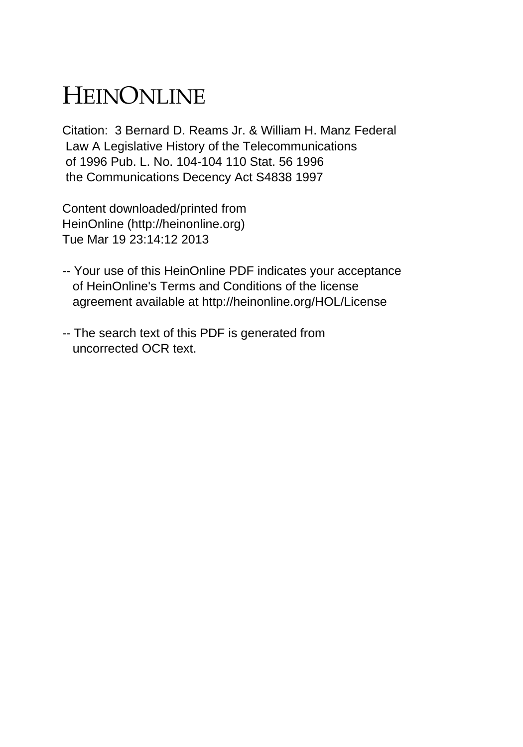## HEINONLINE

Citation: 3 Bernard D. Reams Jr. & William H. Manz Federal Law A Legislative History of the Telecommunications of 1996 Pub. L. No. 104-104 110 Stat. 56 1996 the Communications Decency Act S4838 1997

Content downloaded/printed from HeinOnline (http://heinonline.org) Tue Mar 19 23:14:12 2013

- -- Your use of this HeinOnline PDF indicates your acceptance of HeinOnline's Terms and Conditions of the license agreement available at http://heinonline.org/HOL/License
- -- The search text of this PDF is generated from uncorrected OCR text.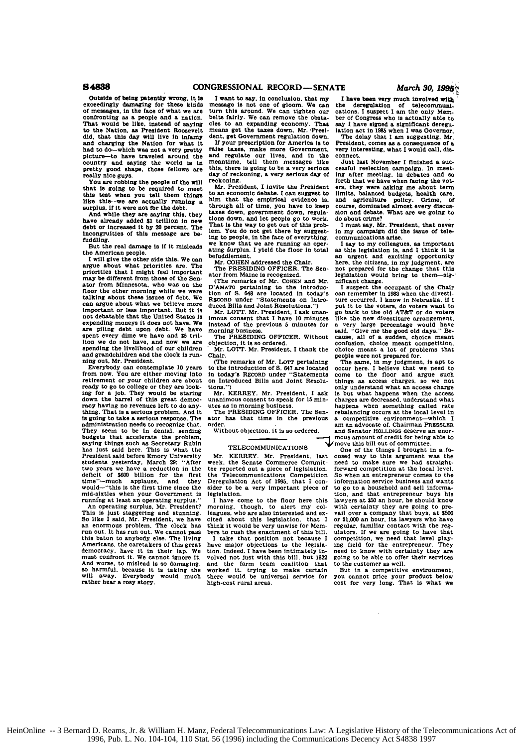Outside **of** being patently wrong, it **is** exceedingly damaging for these kinds of messages. in the face of what we **axe** confronting as **a** people and a naticn. That would be like. instead of saying to the Nation, as President Roosevelt did, that this **day will** live in infamy and charging the Nation for what it **had** to do-which **was** not a very pretty picture---to have traveled around the<br>country and saying the world is in<br>pretty good shape, those fellows are

really nice guys. You are robbing the people **of** the will that is going to be required to meet<br>this test when you tell them things like this-we are actually running a surplus, **if** it were not **fbr** the debt.

And while they are saying this, they have already added \$1 trillion in new debt or increased it by 20 percent. The incongruities of this message are befuddling.

But the real damage is if it misleads

the American **people. <sup>I</sup>**will give the other side this. We can argue about what priorities are. The priorities that **I** might feel important may be different from those of the Senator from Minnesota. who was **on** the talking about these issues of debt. We can argue about what we believe more important or less important. But it **is** not debatable that the United States is expending moneys it does not have. We are **pinng** debt. We have and \$5 tril-<br>lion we do not have, and now we are lion we do not have, and now we are spending the livelihood **of** our children and grandchildren and the **clock** is run-

Everybody can contemplate 10 years from now. You are either moving into retirement or your children are about ready to go to college or they are looking for a job. They would be staring down the barrel of this great democracy having no revenues left to do anything. That is a serious problem. And it is going to take a serious response. The administration needs to recognize. The administration needs to recognize that. They seem to be In denial, sending budgets that accelerate the problem, saying things such as Secretary Rubin has just said here. This is what the President said before Emory University students yesterday. March **29:** "After two years we have a reduction in the deficit **of** \$00 billion for the first time"-much applause, and they would-"this is the first time since the mid-sixties when your Government is running at least an operating surplus." An operating surplus, Mr. President?

An operating surplus, Mr. President?<br>This is just staggering and stunning.<br>So like I said, Mr. President, we have an enormous problem. The clock has run Out. It has run out. We cannot pass this baton to anybody else. The living Americans, the caretakers of this great democracy, have it in their lap. We must confront it. We cannot ignore it. must confront it. We cannot ignore it. And worse, to mislead is so damaging, so harmful, because it is taking the will away. Everybody would much rather hear a rosy story.

I want to say, in conclusion, that my I have been very much involved with<br>message is not one of gloom. We can the deregulation of telecommuni-<br>turn this around. We can tighten our cations. I suspect I am the only Membelts fairly. We can remove the obsta**cles** mean dent, get Government regulation down.<br>If your prescription for America is to to an expanding economy. That say **I** have signed **a** significant deregu. get the taxes down, Mr. "Presi- lation act in 1915 when I was Governor,

If your prescription for America is to Presider<br>**raise taxes, make more Government**, very intend regulate our lives, and in the connect. mean this, day of reckoning, a very serious day of reckoning.

Mr. President, I invite the President to an economic debate. I can suggest to him that the empirical evidence is, throu taxes tions That down, and let people go to work. do about crime? lem. You do not get there by suggest- in my campaign did **ing** to people, in the face of everything, communications arise. Ing to we **kn** ating befud Mr.

The PRESIDING OFFICER. The Sen-

ator from Maine is recognized. (The remarks of Mr. COHEN and Mr. nificant change.)<br>D'AMATO pertaining to the introduc- I suspect the tion c<br>R<sub>E</sub>cor

duced Mr. **imous** instead of the previous 5 minutes for morning busines

The PRESIDING OFFICER. Without objection, it is so ordered.<br>
Mr. LOTT. Mr. President, I thank the

Chair.

(The remarks of Mr. LOTT pertaining to the **in tod** on Introduced Bills and Joint Resolu-<br>tions.")

Mr. KERREY. Mr. President, I ask unanimous consent to speak for 15 minutes The

ator has that time in the previous order.

Without objection, it is so ordered.

Mr. KERREY. Mr. President, last week, the Senate Commerce Commit-<br>tee reported out a piece of legislation, tee re<br>the T<br>Dereg sider sider to be a very important piece of<br>legislation.<br>I have come to the floor here this

morning, though, to alert my colleagues, who are also interested and excited think bers to rush the enactment of this bill.

I take that position not because I have major objections to the legislation. Indeed, I have been intimately involved not just with this bill, but 1822 and t worke there high-cost rural areas. he farm team coalition that to the customer as well.

family. The caregulation of telecommunications. I suspect I am the only Member of Congress who is actually able to

The delay that I am suggesting, Mr. President, comes as a consequence of a very interesting, what I would call, dis-

Just last November I finished a sucthere is going to be a very serious cessful reelection campaign. In meet-**I** reckoning, **a** very serious day of **ing** after meeting, in debates and so forth that we have when facing the voters, they were asking me about term economic debate. I can suggest to limits, balanced budgets, health care,<br>that the empirical evidence is, and agriculture policy. Crime, oil<br>gh all of time, you have to keep course, dominated almost every discussion and debate. What are we going to do about crime?

is the way to get out of this prob- I must say. Mr. President. that never You do not get there **by** suggest- in my campaign **did** the issue of tale-

I say to my colleagues, as important as this legislation is, and I think it is an urgent and exciting opportunity COHEN addressed the Chair.<br> **PRESIDING OFFICER.** The Sen- not prepared for the change that this<br>
rom Maine is recognized.<br>
legislation would bring to them-sig-**ATO ATO ATTACHMENT ATTACHMENT CONSUMER THE INTERNATIONAL STATE** 

of **S.** 648 are located in today's can remember in **1983** when the divesti-RD under "Statements on Intro- ture occurred. I know in Nebraska. if I Bills and Joint Resolutions.") put it to the voters, do voters want to LOTT. Mr. President, I ask unan- go back to the old AT&T or do voters like the new divestiture arrangement. d of the previous 5 minutes for a very large percentage would have<br>lng business.<br>**PRESIDING OFFICER.** Without cause, all of a sudden, choice meant tion, it is so ordered.<br>
LOTT. Mr. President, I thank the choice meant a lot of problems that<br>
is remarks of Mr. LOTT pertaining The same, in my judgment, is apt to<br>
is remarks of Mr. LOTT pertaining The same, in my judgme

occur here. I believe that we need to come to the floor and argue such troduced Bills and Joint Resolu- things as access charges. so we not **")** only understand what an access charge KERREY. Mr. President. **I** ask is but what happens when the access mous consent to speak for **15** min- charges are decreased, understand what happens when something called rate rebalancing occurs at the local level in has that time in the previous a competitive environment--which I am an advocate **of.** Chairman PRESSLER and Senator HOLLINGS deserve an enormous amount of credit for being able to<br>move this bill out of committee.

move this bill out of committee. **TELECOMMUNICATIONS** One of the things **I** brought in a fo-KERREY. Mr. President, last **cused** way to this argument was the need to make sure we had straightforward competition at the local level. 'elecommunications Competition **So** when an entrepreneur comes to the ulation Act of **1995.** that **I** con- information service business and wants to be a very important piece of to go to a household **and** sell informa-ation. tion, and that entrepreneur buys his lawyers at \$50 an hour. he should know **ng,** though, to alert my col- with certainty they are going to pre-s, who are also interested and **ex-** vail over a company that buys, at **\$500** about this legislation, that I or \$1,000 an hour, its lawyers who have it would be very unwise for Mem-regular, familiar contact with the regoral to rush the energy or business of this bill. ulators. If we are going to hav major objections to the legisla- ing field for the entrepreneur. They ndeed. **I** have been intimately in- need to know with certainty they are going to be able to offer their services<br>to the customer as well.

But in a competitive environment, would be universal service for you cannot price your product below ost rural areas, cost for very long. That is what we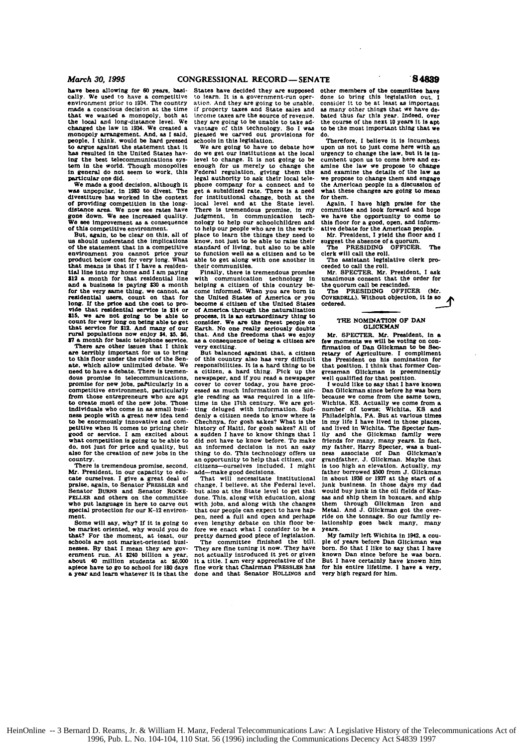## **March 30, 1995**

have been allowing for **60** years. basically. We used to have a competitive<br>environment prior to 1934. The country made a conscious decision at the time that we wanted a monopoly, both at the local and long-distance level. We changed the law in 1934. We created a people. **I** think, would be hard pressed to argue against the statement that it **has** resulted in the United States having the best telecommunications sys- tem In the world. Though monopolies in general do not seem to work. this particular one **did.**

We made a good decision, although it was unpopular, in **1983** to divest. The divestiture has worked In the context of providing competition in the longdistance area. We now see rates have gone down. We see Increased quality. We see Improvement as a consequence **of** this competitive environment.

of this competitive environment.<br>But, again, to be clear on this, all of<br>us should understand the implications<br>of the statement that in a competitive us should understand the implications of the statement that in a competitive product below cost for very long. What product below cost for very long. What that means is that **if I** have a residen- tial line into my home and I am paying \$12 a month for that residential line<br>and a business is paying \$30 a month for the very same thing. we cannot, as<br>for the very same thing, we cannot, as<br>residential users, count on that for<br>long. If the price and the cost

**<sup>37</sup>**a month for basic telephone service. There are other issues that **I** think are terribly important for us to bring ate. which allow unlimited debate. We need to have a debate. There is tremen-<br>dous promise in telecommunications. promise for new jobs, particularly in a competitive environment, particularly from those entrepreneurs who are apt competitive environment, particularly from those entrepreneurs who are apt to create most **of** the new jobs. Those individuals who come in as small business people with **a** great new idea tend to **be** enormously Innovative and com- petitive when it comes to pricing their petitive when it comes to pricing their<br>good or service. I am excited about what competition is going to be able to<br>do, not just for price and quality, but also for the creation of new jobs in the country.<br>There is tremendous promise, second,

Mr. President, in our capacity to edu-<br>cate ourselves. I give a great deal of praise, again, to Senator PRESSLER and Senator **BURNS** and Senator ROCKE- FELLER and others on the committee who put language in here to carve out special protection for our K-12 environment.

Some will say, why? **If** it is going to be market oriented, why would you do that? For the moment, at least, our schools are not market-oriented busi- nesses. **By** that **I** mean they are gov**ernment** run. At \$240 billion a year, about 40 million students at **96,000** apiece have to go to school for **180** days <sup>a</sup>**year** and learn whatever It is that the

States have decided they are supposed to learn. It is a government-run operation. And they are going to be unable.<br>if property taxes and State sales and **if** property taxes and State sales and Income taxes are the source of revenue. they are going to be unable to take ad- vantage of this technology. **So I** was

please in the schools in this legislation. We are going to have to debate how do we get our institutions at the local level to change. It is not going to be enough for us merely to change the Federal regulation, giving them the legal authority to ask their local tele-<br>phone company for a connect and to get a subsidized rate. There is a need for institutional change, both at the local level and at the State level. judgment, in communication tech-<br>nology to help our schoolchildren and to help our people who are in the work-<br>place to learn the things they need to<br>know, not just to be able to raise their<br>standard of living, but also to be able standard of living, but also to be able to function well **as** a citizen and to be their communities.<br>Finally, there is tremendous promise

with communication technology in<br>helping a citizen of this country behe United States of America or you helphone become a citizen of the United States of America through the naturalization process, it is an extraordinary thing to consider. We are the freest people on process, it **is as** extraordinary thing to consider. We **are** the freest people on Earth. No one really seriously doubts that. And the freedoms that we enjoy as a consequence of being a citizen are very exciting.

But balanced against that, a citizen of this country also has very difficult responsibilities. It is a hard thing to be a citizen, a hard thing. Pick up the newspaper, and if you read a newspaper cover to cover today, you have proc-essed as much information in one single reading as was required in **a** life- time in the **17th** century. We are getting deluged with information. Sud- denly a citizen needs to know where **Is** denly a citizen needs to know where is Chechnya, for gosh sakes? What is the history of Haiti, for gosh sakes? All of a sudden I have to know things that I a sudden I have to know things that I did not have to know before. To make an informed decision is not an easy thing to do. This technology offers us<br>an opportunity to help that citizen, our<br>citizens-ourselves included. I might<br>add-make good decisions.

That will necessitate Institutional change. I believe, at the Federal level. but also at the State level to get that done. This, along with education, along with jobs, and along with the changes that our people can expect to have hap-<br>
pen, need a full and open and perhaps<br>
even lengthy debate on this floor be-<br>
fore we enact what I consider to be-Fore we enact what I consider to be a<br>pretty darned good piece of legislation.<br>The committee finished the bill.

They are fine tuning it now. They have not actually introduced it yet or given it a title. **I asn** very appreciative of the fine work that Chairman PRESSLER has done and that Senator **HOLLINoS** and

other members of the committee have done to bring this legislation out. **<sup>I</sup>** as many other things that we have de-<br>bated thus far this year. Indeed, over<br>the course of the next **10** years it is apt<br>to be the most important thing that we

to be the most important thing that we do.Therefore. **I** believe it **is** incumbent upon us not to just come here with an urgency to change the law, but It **is** inamine the law we propose to change and examine the details of the law as we propose to change them and engage them and engage them and engage them and engage them and engage them and engage them and engage them and engage what these changes are going to mean for them.

Again. I have high praise for the committee and look forward and hope we have the opportunity to come to this floor for a good, open, and informative debate for the American people. Mr. President, **I** yield the floor and **<sup>I</sup>**

suggest the absenc<mark>e of a quorum.</mark><br>The **PRESIDING OFFICER. The**<br>clerk will call the roll.

The assistant legislative clerk proceeded to call the roll.<br>The assistant legislative clerk pro-<br>ceeded to call the roll.<br>Mr. SPECTER. Mr. President. I ask

ceeded to call the roll.<br>Mr. SPECTER. Mr. President. I ask<br>unanimous consent that the order for<br>the quorum call be rescinded.<br>The PRESIDING OFFICER (Mr.<br>COVERDELL). Without objection, it is so

ordered.

## **THE** NOMINATION **OF DAN OLICXKMAN**

Mr. SPECTER. Mr. President, in a few moments we will be voting on confirmation of Dan Glickman to the Section retary of Agriculture. I compliment that position is not a moment of the President on his non-terminal will qual

Dan Glickman since before hp was born because we come from the same town, number of towns; Wichita, **KS** and Philadelphia. PA. But at various times in my life **I** have lived in those places. and lived In Wichita. The Specter fam- ily and the Glickman family were friends for many, many years. In fact. my father. Harry Specter, was a **busi-** ness associate of Dan Glickman's grandfather, **J.** Glickman. Maybe that is too high an elevation. Actually, my father borrowed **50** from **J.** Glickman in about **1936** or **1937** at the start of a junk business. In those days my dad would buy junk in the oil fields of Kanthem through Gllckman Iron and Metal. And **J.** Glickman got the override on the tonnage. So our family re- lationship goes back many. many years.

My family left Wichita in 1942, a cou-<br>ple of years before Dan Glickman was **ple** of years before Dan Glickman was **born. So** that **I** like to say that **I** have known Dan since before he was born. But **I** have certainly have known him for his entire lifetime. **I** have **a** very, very high regard for him.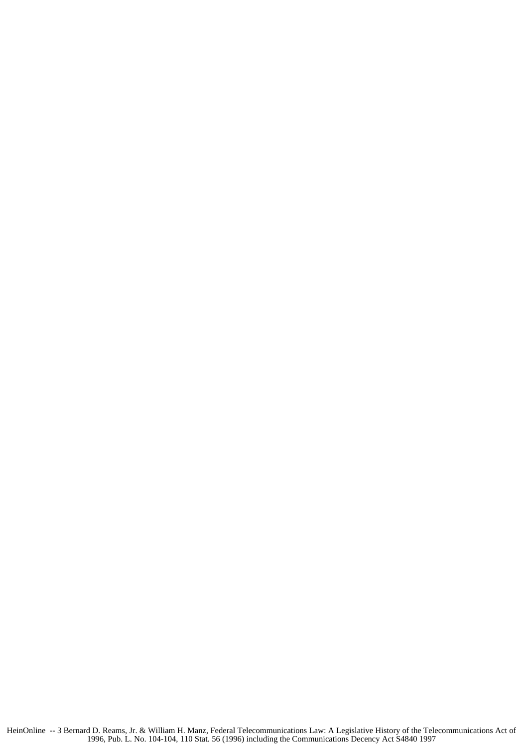HeinOnline -- 3 Bernard D. Reams, Jr. & William H. Manz, Federal Telecommunications Law: A Legislative History of the Telecommunications Act of 1996, Pub. L. No. 104-104, 110 Stat. 56 (1996) including the Communications Decency Act S4840 1997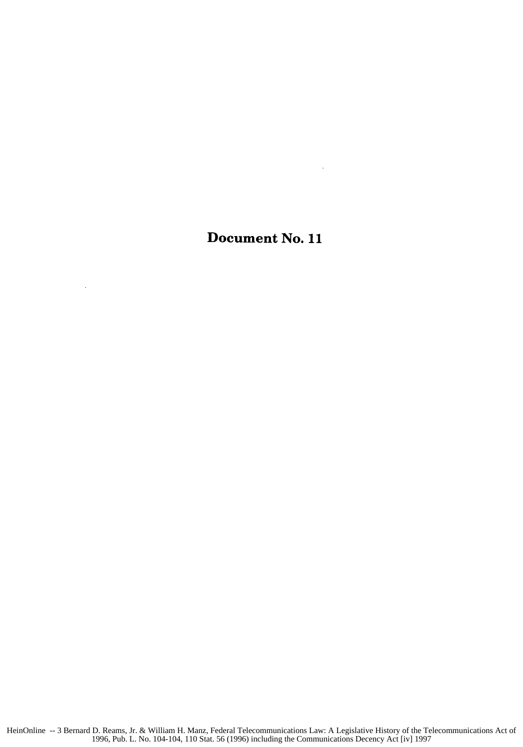Document No. **11**

 $\sim$ 

 $\sim$